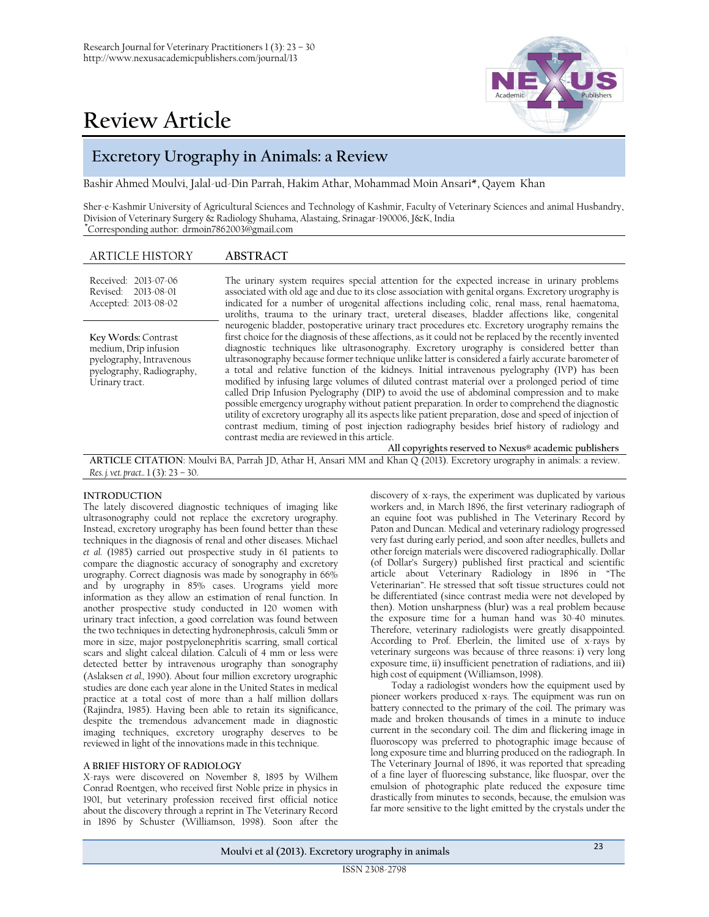

# **Review Article**

# **Excretory Urography in Animals: a Review**

Bashir Ahmed Moulvi, Jalal-ud-Din Parrah, Hakim Athar, Mohammad Moin Ansari\*, Qayem Khan

Sher-e-Kashmir University of Agricultural Sciences and Technology of Kashmir, Faculty of Veterinary Sciences and animal Husbandry, Division of Veterinary Surgery & Radiology Shuhama, Alastaing, Srinagar-190006, J&K, India  **\***Corresponding author: drmoin7862003@gmail.com

# ARTICLE HISTORY **ABSTRACT**

Received: 2013-07-06 Revised: 2013-08-01 Accepted: 2013-08-02 The urinary system requires special attention for the expected increase in urinary problems associated with old age and due to its close association with genital organs. Excretory urography is indicated for a number of urogenital affections including colic, renal mass, renal haematoma, uroliths, trauma to the urinary tract, ureteral diseases, bladder affections like, congenital neurogenic bladder, postoperative urinary tract procedures etc. Excretory urography remains the first choice for the diagnosis of these affections, as it could not be replaced by the recently invented diagnostic techniques like ultrasonography. Excretory urography is considered better than ultrasonography because former technique unlike latter is considered a fairly accurate barometer of a total and relative function of the kidneys. Initial intravenous pyelography (IVP) has been modified by infusing large volumes of diluted contrast material over a prolonged period of time called Drip Infusion Pyelography (DIP) to avoid the use of abdominal compression and to make possible emergency urography without patient preparation. In order to comprehend the diagnostic utility of excretory urography all its aspects like patient preparation, dose and speed of injection of contrast medium, timing of post injection radiography besides brief history of radiology and contrast media are reviewed in this article. **All copyrights reserved to Nexus® academic publishers Key Words:** Contrast medium, Drip infusion pyelography, Intravenous pyelography, Radiography, Urinary tract.

**ARTICLE CITATION**: Moulvi BA, Parrah JD, Athar H, Ansari MM and Khan Q (2013). Excretory urography in animals: a review. *Res. j. vet. pract..* 1 (3): 23 – 30.

#### **INTRODUCTION**

The lately discovered diagnostic techniques of imaging like ultrasonography could not replace the excretory urography. Instead, excretory urography has been found better than these techniques in the diagnosis of renal and other diseases. Michael *et al.* (1985) carried out prospective study in 61 patients to compare the diagnostic accuracy of sonography and excretory urography. Correct diagnosis was made by sonography in 66% and by urography in 85% cases. Urograms yield more information as they allow an estimation of renal function. In another prospective study conducted in 120 women with urinary tract infection, a good correlation was found between the two techniques in detecting hydronephrosis, calculi 5mm or more in size, major postpyelonephritis scarring, small cortical scars and slight calceal dilation. Calculi of 4 mm or less were detected better by intravenous urography than sonography (Aslaksen *et al.,* 1990). About four million excretory urographic studies are done each year alone in the United States in medical practice at a total cost of more than a half million dollars (Rajindra, 1985). Having been able to retain its significance, despite the tremendous advancement made in diagnostic imaging techniques, excretory urography deserves to be reviewed in light of the innovations made in this technique.

#### **A BRIEF HISTORY OF RADIOLOGY**

X-rays were discovered on November 8, 1895 by Wilhem Conrad Roentgen, who received first Noble prize in physics in 1901, but veterinary profession received first official notice about the discovery through a reprint in The Veterinary Record in 1896 by Schuster (Williamson, 1998). Soon after the

discovery of x-rays, the experiment was duplicated by various workers and, in March 1896, the first veterinary radiograph of an equine foot was published in The Veterinary Record by Paton and Duncan. Medical and veterinary radiology progressed very fast during early period, and soon after needles, bullets and other foreign materials were discovered radiographically. Dollar (of Dollar's Surgery) published first practical and scientific article about Veterinary Radiology in 1896 in "The Veterinarian". He stressed that soft tissue structures could not be differentiated (since contrast media were not developed by then). Motion unsharpness (blur) was a real problem because the exposure time for a human hand was 30-40 minutes. Therefore, veterinary radiologists were greatly disappointed. According to Prof. Eberlein, the limited use of x-rays by veterinary surgeons was because of three reasons: i) very long exposure time, ii) insufficient penetration of radiations, and iii) high cost of equipment (Williamson, 1998).

Today a radiologist wonders how the equipment used by pioneer workers produced x-rays. The equipment was run on battery connected to the primary of the coil. The primary was made and broken thousands of times in a minute to induce current in the secondary coil. The dim and flickering image in fluoroscopy was preferred to photographic image because of long exposure time and blurring produced on the radiograph. In The Veterinary Journal of 1896, it was reported that spreading of a fine layer of fluorescing substance, like fluospar, over the emulsion of photographic plate reduced the exposure time drastically from minutes to seconds, because, the emulsion was far more sensitive to the light emitted by the crystals under the

**Moulvi et al (2013). Excretory urography in animals** <sup>23</sup>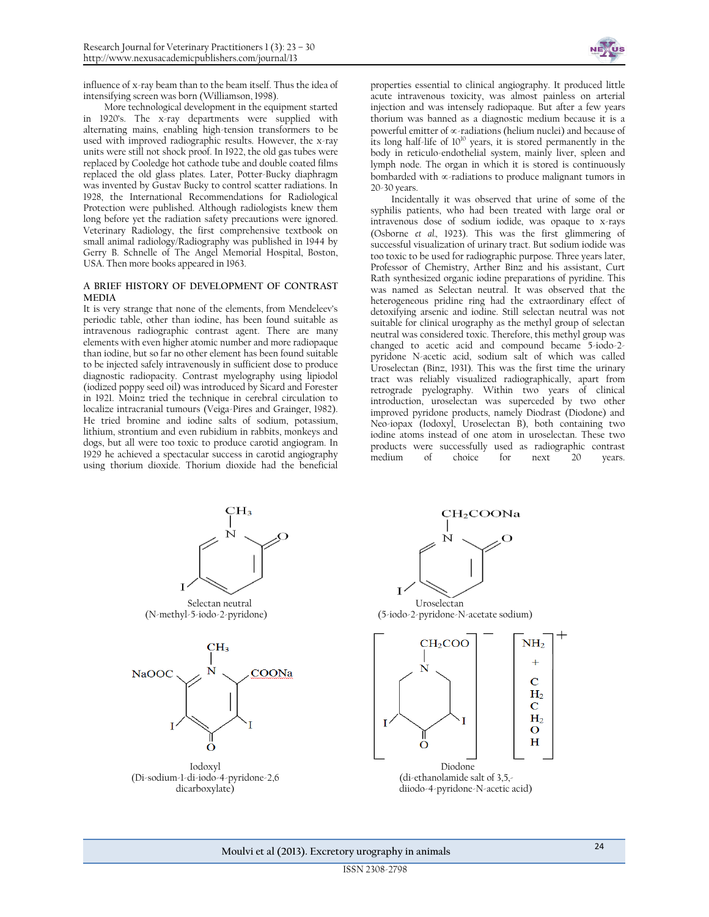

influence of x-ray beam than to the beam itself. Thus the idea of intensifying screen was born (Williamson, 1998).

More technological development in the equipment started in 1920's. The x-ray departments were supplied with alternating mains, enabling high-tension transformers to be used with improved radiographic results. However, the x-ray units were still not shock proof. In 1922, the old gas tubes were replaced by Cooledge hot cathode tube and double coated films replaced the old glass plates. Later, Potter-Bucky diaphragm was invented by Gustav Bucky to control scatter radiations. In 1928, the International Recommendations for Radiological Protection were published. Although radiologists knew them long before yet the radiation safety precautions were ignored. Veterinary Radiology, the first comprehensive textbook on small animal radiology/Radiography was published in 1944 by Gerry B. Schnelle of The Angel Memorial Hospital, Boston, USA. Then more books appeared in 1963.

#### **A BRIEF HISTORY OF DEVELOPMENT OF CONTRAST MEDIA**

It is very strange that none of the elements, from Mendeleev's periodic table, other than iodine, has been found suitable as intravenous radiographic contrast agent. There are many elements with even higher atomic number and more radiopaque than iodine, but so far no other element has been found suitable to be injected safely intravenously in sufficient dose to produce diagnostic radiopacity. Contrast myelography using lipiodol (iodized poppy seed oil) was introduced by Sicard and Forester in 1921. Moinz tried the technique in cerebral circulation to localize intracranial tumours (Veiga-Pires and Grainger, 1982). He tried bromine and iodine salts of sodium, potassium, lithium, strontium and even rubidium in rabbits, monkeys and dogs, but all were too toxic to produce carotid angiogram. In 1929 he achieved a spectacular success in carotid angiography using thorium dioxide. Thorium dioxide had the beneficial

properties essential to clinical angiography. It produced little acute intravenous toxicity, was almost painless on arterial injection and was intensely radiopaque. But after a few years thorium was banned as a diagnostic medium because it is a powerful emitter of  $\infty$ -radiations (helium nuclei) and because of its long half-life of 10<sup>10</sup> years, it is stored permanently in the body in reticulo-endothelial system, mainly liver, spleen and lymph node. The organ in which it is stored is continuously bombarded with  $\infty$ -radiations to produce malignant tumors in 20-30 years.

Incidentally it was observed that urine of some of the syphilis patients, who had been treated with large oral or intravenous dose of sodium iodide, was opaque to x-rays (Osborne *et al.,* 1923). This was the first glimmering of successful visualization of urinary tract. But sodium iodide was too toxic to be used for radiographic purpose. Three years later, Professor of Chemistry, Arther Binz and his assistant, Curt Rath synthesized organic iodine preparations of pyridine. This was named as Selectan neutral. It was observed that the heterogeneous pridine ring had the extraordinary effect of detoxifying arsenic and iodine. Still selectan neutral was not suitable for clinical urography as the methyl group of selectan neutral was considered toxic. Therefore, this methyl group was changed to acetic acid and compound became 5-iodo-2 pyridone N-acetic acid, sodium salt of which was called Uroselectan (Binz, 1931). This was the first time the urinary tract was reliably visualized radiographically, apart from retrograde pyelography. Within two years of clinical introduction, uroselectan was superceded by two other improved pyridone products, namely Diodrast (Diodone) and Neo-iopax (Iodoxyl, Uroselectan B), both containing two iodine atoms instead of one atom in uroselectan. These two products were successfully used as radiographic contrast medium of choice for next 20 years.

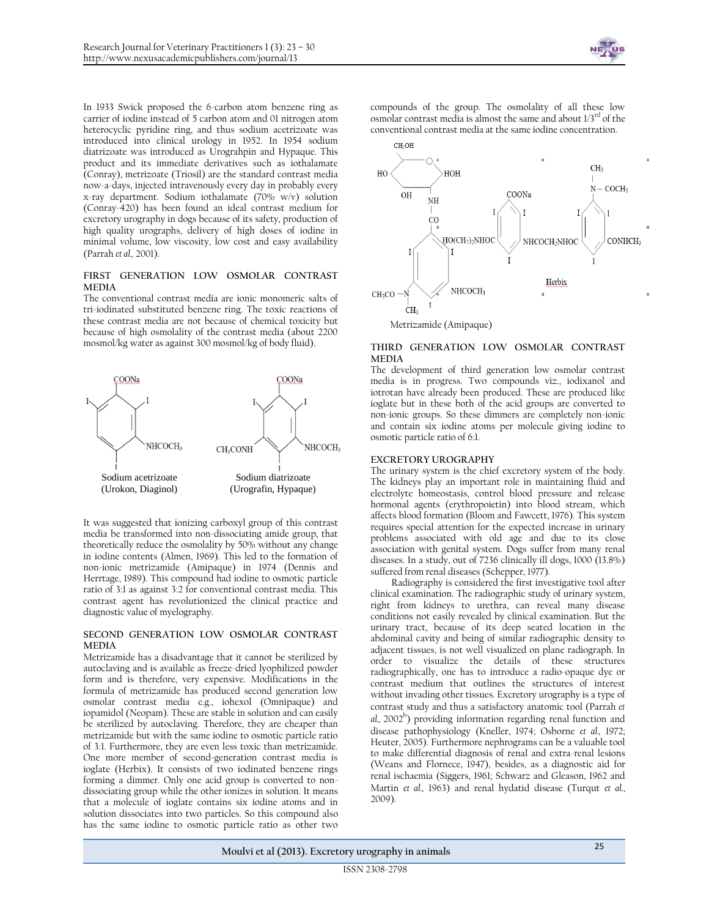

In 1933 Swick proposed the 6-carbon atom benzene ring as carrier of iodine instead of 5 carbon atom and 01 nitrogen atom heterocyclic pyridine ring, and thus sodium acetrizoate was introduced into clinical urology in 1952. In 1954 sodium diatrizoate was introduced as Urograhpin and Hypaque. This product and its immediate derivatives such as iothalamate (Conray), metrizoate (Triosil) are the standard contrast media now-a-days, injected intravenously every day in probably every x-ray department. Sodium iothalamate (70% w/v) solution (Conray-420) has been found an ideal contrast medium for excretory urography in dogs because of its safety, production of high quality urographs, delivery of high doses of iodine in minimal volume, low viscosity, low cost and easy availability (Parrah *et al.,* 2001).

# **FIRST GENERATION LOW OSMOLAR CONTRAST MEDIA**

The conventional contrast media are ionic monomeric salts of tri-iodinated substituted benzene ring. The toxic reactions of these contrast media are not because of chemical toxicity but because of high osmolality of the contrast media (about 2200 mosmol/kg water as against 300 mosmol/kg of body fluid).



It was suggested that ionizing carboxyl group of this contrast media be transformed into non-dissociating amide group, that theoretically reduce the osmolality by 50% without any change in iodine contents (Almen, 1969). This led to the formation of non-ionic metrizamide (Amipaque) in 1974 (Dennis and Herrtage, 1989). This compound had iodine to osmotic particle ratio of 3:1 as against 3:2 for conventional contrast media. This contrast agent has revolutionized the clinical practice and diagnostic value of myelography.

#### **SECOND GENERATION LOW OSMOLAR CONTRAST MEDIA**

Metrizamide has a disadvantage that it cannot be sterilized by autoclaving and is available as freeze-dried lyophilized powder form and is therefore, very expensive. Modifications in the formula of metrizamide has produced second generation low osmolar contrast media e.g., iohexol (Omnipaque) and iopamidol (Neopam). These are stable in solution and can easily be sterilized by autoclaving. Therefore, they are cheaper than metrizamide but with the same iodine to osmotic particle ratio of 3:1. Furthermore, they are even less toxic than metrizamide. One more member of second-generation contrast media is ioglate (Herbix). It consists of two iodinated benzene rings forming a dimmer. Only one acid group is converted to nondissociating group while the other ionizes in solution. It means that a molecule of ioglate contains six iodine atoms and in solution dissociates into two particles. So this compound also has the same iodine to osmotic particle ratio as other two

compounds of the group. The osmolality of all these low osmolar contrast media is almost the same and about  $1/3<sup>rd</sup>$  of the conventional contrast media at the same iodine concentration.



## **THIRD GENERATION LOW OSMOLAR CONTRAST MEDIA**

The development of third generation low osmolar contrast media is in progress. Two compounds viz., iodixanol and iotrotan have already been produced. These are produced like ioglate but in these both of the acid groups are converted to non-ionic groups. So these dimmers are completely non-ionic and contain six iodine atoms per molecule giving iodine to osmotic particle ratio of 6:1.

## **EXCRETORY UROGRAPHY**

The urinary system is the chief excretory system of the body. The kidneys play an important role in maintaining fluid and electrolyte homeostasis, control blood pressure and release hormonal agents (erythropoietin) into blood stream, which affects blood formation (Bloom and Fawcett, 1976). This system requires special attention for the expected increase in urinary problems associated with old age and due to its close association with genital system. Dogs suffer from many renal diseases. In a study, out of 7236 clinically ill dogs, 1000 (13.8%) suffered from renal diseases (Schepper, 1977).

Radiography is considered the first investigative tool after clinical examination. The radiographic study of urinary system, right from kidneys to urethra, can reveal many disease conditions not easily revealed by clinical examination. But the urinary tract, because of its deep seated location in the abdominal cavity and being of similar radiographic density to adjacent tissues, is not well visualized on plane radiograph. In order to visualize the details of these structures radiographically, one has to introduce a radio-opaque dye or contrast medium that outlines the structures of interest without invading other tissues. Excretory urography is a type of contrast study and thus a satisfactory anatomic tool (Parrah *et*  al., 2002<sup>b</sup>) providing information regarding renal function and disease pathophysiology (Kneller, 1974; Osborne *et al.,* 1972; Heuter, 2005). Furthermore nephrograms can be a valuable tool to make differential diagnosis of renal and extra-renal lesions (Weans and Flornece, 1947), besides, as a diagnostic aid for renal ischaemia (Siggers, 1961; Schwarz and Gleason, 1962 and Martin *et al.,* 1963) and renal hydatid disease (Turqut *et al.*, 2009).

**Moulvi et al (2013). Excretory urography in animals** <sup>25</sup>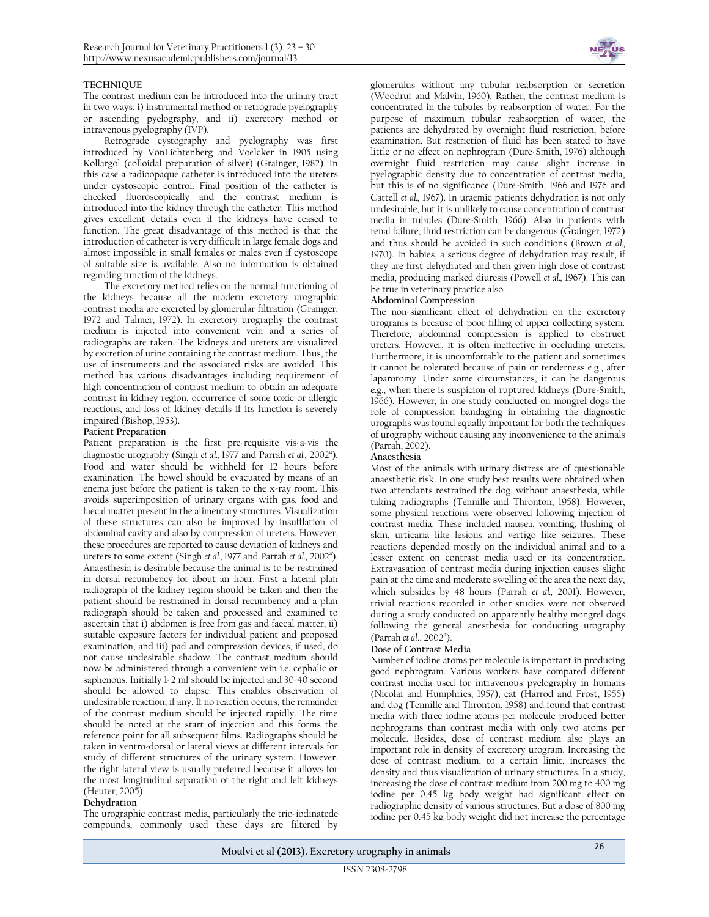## **TECHNIQUE**

The contrast medium can be introduced into the urinary tract in two ways: i) instrumental method or retrograde pyelography or ascending pyelography, and ii) excretory method or intravenous pyelography (IVP).

Retrograde cystography and pyelography was first introduced by VonLichtenberg and Voelcker in 1905 using Kollargol (colloidal preparation of silver) (Grainger, 1982). In this case a radioopaque catheter is introduced into the ureters under cystoscopic control. Final position of the catheter is checked fluoroscopically and the contrast medium is introduced into the kidney through the catheter. This method gives excellent details even if the kidneys have ceased to function. The great disadvantage of this method is that the introduction of catheter is very difficult in large female dogs and almost impossible in small females or males even if cystoscope of suitable size is available. Also no information is obtained regarding function of the kidneys.

The excretory method relies on the normal functioning of the kidneys because all the modern excretory urographic contrast media are excreted by glomerular filtration (Grainger, 1972 and Talmer, 1972). In excretory urography the contrast medium is injected into convenient vein and a series of radiographs are taken. The kidneys and ureters are visualized by excretion of urine containing the contrast medium. Thus, the use of instruments and the associated risks are avoided. This method has various disadvantages including requirement of high concentration of contrast medium to obtain an adequate contrast in kidney region, occurrence of some toxic or allergic reactions, and loss of kidney details if its function is severely impaired (Bishop, 1953).

#### **Patient Preparation**

Patient preparation is the first pre-requisite vis-a-vis the diagnostic urography (Singh *et al.*, 1977 and Parrah *et al.*, 2002<sup>a</sup>). Food and water should be withheld for 12 hours before examination. The bowel should be evacuated by means of an enema just before the patient is taken to the x-ray room. This avoids superimposition of urinary organs with gas, food and faecal matter present in the alimentary structures. Visualization of these structures can also be improved by insufflation of abdominal cavity and also by compression of ureters. However, these procedures are reported to cause deviation of kidneys and ureters to some extent (Singh *et al., 1977* and Parrah *et al., 2002<sup>a</sup>*). Anaesthesia is desirable because the animal is to be restrained in dorsal recumbency for about an hour. First a lateral plan radiograph of the kidney region should be taken and then the patient should be restrained in dorsal recumbency and a plan radiograph should be taken and processed and examined to ascertain that i) abdomen is free from gas and faecal matter, ii) suitable exposure factors for individual patient and proposed examination, and iii) pad and compression devices, if used, do not cause undesirable shadow. The contrast medium should now be administered through a convenient vein i.e. cephalic or saphenous. Initially 1-2 ml should be injected and 30-40 second should be allowed to elapse. This enables observation of undesirable reaction, if any. If no reaction occurs, the remainder of the contrast medium should be injected rapidly. The time should be noted at the start of injection and this forms the reference point for all subsequent films. Radiographs should be taken in ventro-dorsal or lateral views at different intervals for study of different structures of the urinary system. However, the right lateral view is usually preferred because it allows for the most longitudinal separation of the right and left kidneys (Heuter, 2005).

#### **Dehydration**

The urographic contrast media, particularly the trio-iodinatede compounds, commonly used these days are filtered by



glomerulus without any tubular reabsorption or secretion (Woodruf and Malvin, 1960). Rather, the contrast medium is concentrated in the tubules by reabsorption of water. For the purpose of maximum tubular reabsorption of water, the patients are dehydrated by overnight fluid restriction, before examination. But restriction of fluid has been stated to have little or no effect on nephrogram (Dure-Smith, 1976) although overnight fluid restriction may cause slight increase in pyelographic density due to concentration of contrast media, but this is of no significance (Dure-Smith, 1966 and 1976 and Cattell *et al.,* 1967). In uraemic patients dehydration is not only undesirable, but it is unlikely to cause concentration of contrast media in tubules (Dure-Smith, 1966). Also in patients with renal failure, fluid restriction can be dangerous (Grainger, 1972) and thus should be avoided in such conditions (Brown *et al.,* 1970). In babies, a serious degree of dehydration may result, if they are first dehydrated and then given high dose of contrast media, producing marked diuresis (Powell *et al.,* 1967). This can be true in veterinary practice also.

#### **Abdominal Compression**

The non-significant effect of dehydration on the excretory urograms is because of poor filling of upper collecting system. Therefore, abdominal compression is applied to obstruct ureters. However, it is often ineffective in occluding ureters. Furthermore, it is uncomfortable to the patient and sometimes it cannot be tolerated because of pain or tenderness e.g., after laparotomy. Under some circumstances, it can be dangerous e.g., when there is suspicion of ruptured kidneys (Dure-Smith, 1966). However, in one study conducted on mongrel dogs the role of compression bandaging in obtaining the diagnostic urographs was found equally important for both the techniques of urography without causing any inconvenience to the animals (Parrah, 2002).

#### **Anaesthesia**

Most of the animals with urinary distress are of questionable anaesthetic risk. In one study best results were obtained when two attendants restrained the dog, without anaesthesia, while taking radiographs (Tennille and Thronton, 1958). However, some physical reactions were observed following injection of contrast media. These included nausea, vomiting, flushing of skin, urticaria like lesions and vertigo like seizures. These reactions depended mostly on the individual animal and to a lesser extent on contrast media used or its concentration. Extravasation of contrast media during injection causes slight pain at the time and moderate swelling of the area the next day, which subsides by 48 hours (Parrah *et al.,* 2001). However, trivial reactions recorded in other studies were not observed during a study conducted on apparently healthy mongrel dogs following the general anesthesia for conducting urography (Parrah et al., 2002<sup>a</sup>).

#### **Dose of Contrast Media**

Number of iodine atoms per molecule is important in producing good nephrogram. Various workers have compared different contrast media used for intravenous pyelography in humans (Nicolai and Humphries, 1957), cat (Harrod and Frost, 1955) and dog (Tennille and Thronton, 1958) and found that contrast media with three iodine atoms per molecule produced better nephrograms than contrast media with only two atoms per molecule. Besides, dose of contrast medium also plays an important role in density of excretory urogram. Increasing the dose of contrast medium, to a certain limit, increases the density and thus visualization of urinary structures. In a study, increasing the dose of contrast medium from 200 mg to 400 mg iodine per 0.45 kg body weight had significant effect on radiographic density of various structures. But a dose of 800 mg iodine per 0.45 kg body weight did not increase the percentage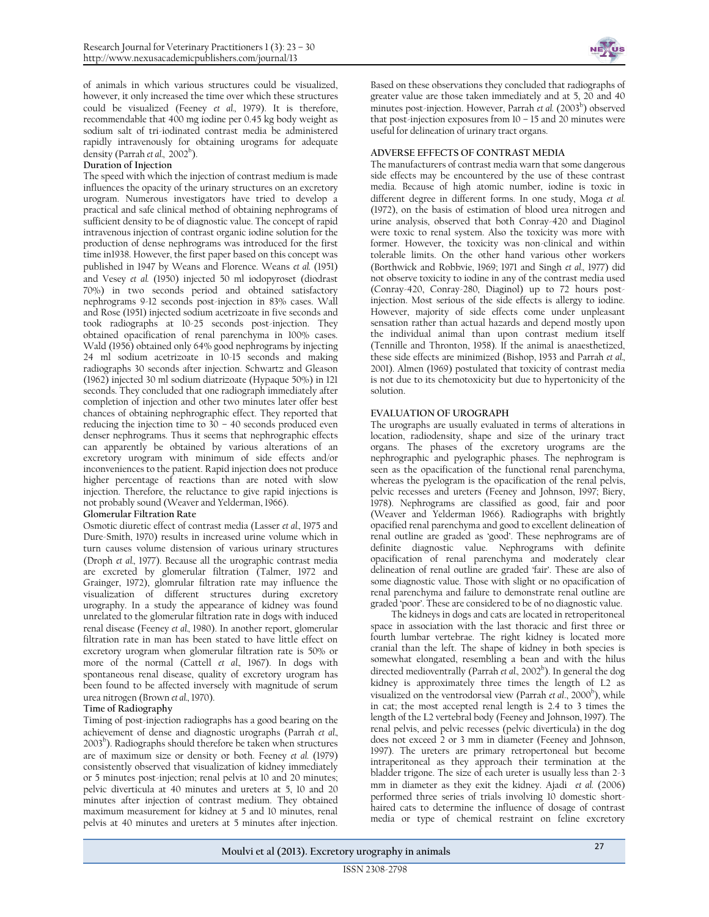of animals in which various structures could be visualized, however, it only increased the time over which these structures could be visualized (Feeney *et al.,* 1979). It is therefore, recommendable that 400 mg iodine per 0.45 kg body weight as sodium salt of tri-iodinated contrast media be administered rapidly intravenously for obtaining urograms for adequate density (Parrah *et al*., 2002<sup>b</sup>).

## **Duration of Injection**

The speed with which the injection of contrast medium is made influences the opacity of the urinary structures on an excretory urogram. Numerous investigators have tried to develop a practical and safe clinical method of obtaining nephrograms of sufficient density to be of diagnostic value. The concept of rapid intravenous injection of contrast organic iodine solution for the production of dense nephrograms was introduced for the first time in1938. However, the first paper based on this concept was published in 1947 by Weans and Florence. Weans *et al.* (1951) and Vesey *et al.* (1950) injected 50 ml iodopyroset (diodrast 70%) in two seconds period and obtained satisfactory nephrograms 9-12 seconds post-injection in 83% cases. Wall and Rose (1951) injected sodium acetrizoate in five seconds and took radiographs at 10-25 seconds post-injection. They obtained opacification of renal parenchyma in 100% cases. Wald (1956) obtained only 64% good nephrograms by injecting 24 ml sodium acetrizoate in 10-15 seconds and making radiographs 30 seconds after injection. Schwartz and Gleason (1962) injected 30 ml sodium diatrizoate (Hypaque 50%) in 121 seconds. They concluded that one radiograph immediately after completion of injection and other two minutes later offer best chances of obtaining nephrographic effect. They reported that reducing the injection time to 30 – 40 seconds produced even denser nephrograms. Thus it seems that nephrographic effects can apparently be obtained by various alterations of an excretory urogram with minimum of side effects and/or inconveniences to the patient. Rapid injection does not produce higher percentage of reactions than are noted with slow injection. Therefore, the reluctance to give rapid injections is not probably sound (Weaver and Yelderman, 1966).

#### **Glomerular Filtration Rate**

Osmotic diuretic effect of contrast media (Lasser *et al.,* 1975 and Dure-Smith, 1970) results in increased urine volume which in turn causes volume distension of various urinary structures (Droph *et al.,* 1977). Because all the urographic contrast media are excreted by glomerular filtration (Talmer, 1972 and Grainger, 1972), glomrular filtration rate may influence the visualization of different structures during excretory urography. In a study the appearance of kidney was found unrelated to the glomerular filtration rate in dogs with induced renal disease (Feeney *et al.,* 1980). In another report, glomerular filtration rate in man has been stated to have little effect on excretory urogram when glomerular filtration rate is 50% or more of the normal (Cattell *et al.,* 1967). In dogs with spontaneous renal disease, quality of excretory urogram has been found to be affected inversely with magnitude of serum urea nitrogen (Brown *et al.,* 1970).

#### **Time of Radiography**

Timing of post-injection radiographs has a good bearing on the achievement of dense and diagnostic urographs (Parrah *et al.,* 2003<sup>b</sup>). Radiographs should therefore be taken when structures are of maximum size or density or both. Feeney *et al.* (1979) consistently observed that visualization of kidney immediately or 5 minutes post-injection; renal pelvis at 10 and 20 minutes; pelvic diverticula at 40 minutes and ureters at 5, 10 and 20 minutes after injection of contrast medium. They obtained maximum measurement for kidney at 5 and 10 minutes, renal pelvis at 40 minutes and ureters at 5 minutes after injection.



Based on these observations they concluded that radiographs of greater value are those taken immediately and at 5, 20 and 40 minutes post-injection. However, Parrah *et al*. (2003<sup>b</sup>) observed that post-injection exposures from  $10 - 15$  and  $20$  minutes were useful for delineation of urinary tract organs.

#### **ADVERSE EFFECTS OF CONTRAST MEDIA**

The manufacturers of contrast media warn that some dangerous side effects may be encountered by the use of these contrast media. Because of high atomic number, iodine is toxic in different degree in different forms. In one study, Moga *et al.* (1972), on the basis of estimation of blood urea nitrogen and urine analysis, observed that both Conray-420 and Diaginol were toxic to renal system. Also the toxicity was more with former. However, the toxicity was non-clinical and within tolerable limits. On the other hand various other workers (Borthwick and Robbvie, 1969; 1971 and Singh *et al.,* 1977) did not observe toxicity to iodine in any of the contrast media used (Conray-420, Conray-280, Diaginol) up to 72 hours postinjection. Most serious of the side effects is allergy to iodine. However, majority of side effects come under unpleasant sensation rather than actual hazards and depend mostly upon the individual animal than upon contrast medium itself (Tennille and Thronton, 1958). If the animal is anaesthetized, these side effects are minimized (Bishop, 1953 and Parrah *et al.,* 2001). Almen (1969) postulated that toxicity of contrast media is not due to its chemotoxicity but due to hypertonicity of the solution.

#### **EVALUATION OF UROGRAPH**

The urographs are usually evaluated in terms of alterations in location, radiodensity, shape and size of the urinary tract organs. The phases of the excretory urograms are the nephrographic and pyelographic phases. The nephrogram is seen as the opacification of the functional renal parenchyma, whereas the pyelogram is the opacification of the renal pelvis, pelvic recesses and ureters (Feeney and Johnson, 1997; Biery, 1978). Nephrograms are classified as good, fair and poor (Weaver and Yelderman 1966). Radiographs with brightly opacified renal parenchyma and good to excellent delineation of renal outline are graded as 'good'. These nephrograms are of definite diagnostic value. Nephrograms with definite opacification of renal parenchyma and moderately clear delineation of renal outline are graded 'fair'. These are also of some diagnostic value. Those with slight or no opacification of renal parenchyma and failure to demonstrate renal outline are graded 'poor'. These are considered to be of no diagnostic value.

The kidneys in dogs and cats are located in retroperitoneal space in association with the last thoracic and first three or fourth lumbar vertebrae. The right kidney is located more cranial than the left. The shape of kidney in both species is somewhat elongated, resembling a bean and with the hilus directed medioventrally (Parrah *et al.*, 2002<sup>b</sup>). In general the dog kidney is approximately three times the length of L2 as visualized on the ventrodorsal view (Parrah *et al.*, 2000<sup>b</sup>), while in cat; the most accepted renal length is 2.4 to 3 times the length of the L2 vertebral body (Feeney and Johnson, 1997). The renal pelvis, and pelvic recesses (pelvic diverticula) in the dog does not exceed 2 or 3 mm in diameter (Feeney and Johnson, 1997). The ureters are primary retropertoneal but become intraperitoneal as they approach their termination at the bladder trigone. The size of each ureter is usually less than 2-3 mm in diameter as they exit the kidney. Ajadi *et al.* (2006) performed three series of trials involving 10 domestic shorthaired cats to determine the influence of dosage of contrast media or type of chemical restraint on feline excretory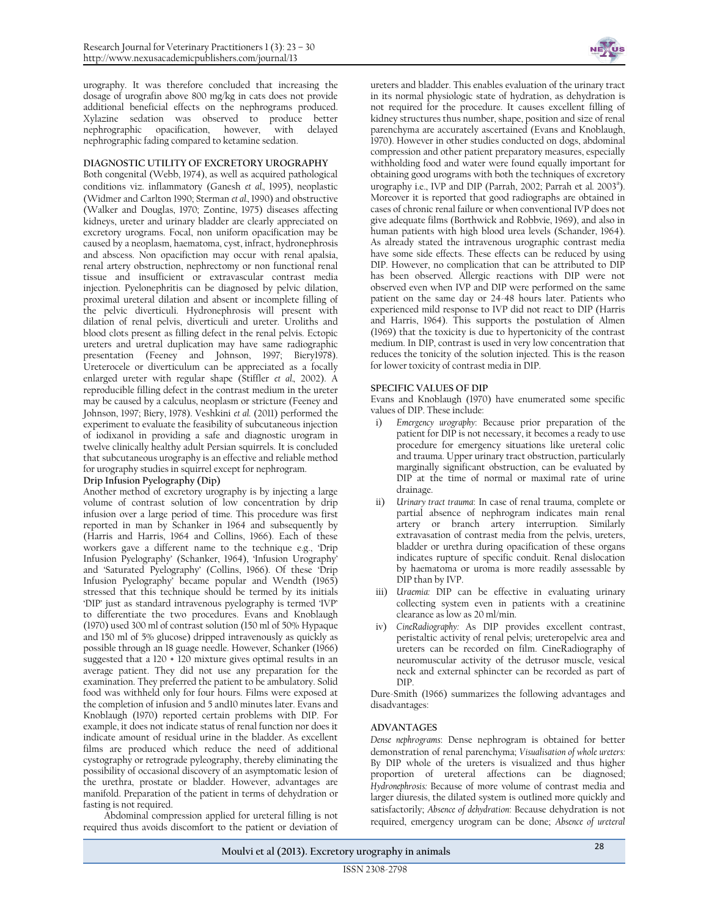urography. It was therefore concluded that increasing the dosage of urografin above 800 mg/kg in cats does not provide additional beneficial effects on the nephrograms produced. Xylazine sedation was observed to produce better nephrographic opacification, however, with delayed nephrographic fading compared to ketamine sedation.

# **DIAGNOSTIC UTILITY OF EXCRETORY UROGRAPHY**

Both congenital (Webb, 1974), as well as acquired pathological conditions viz. inflammatory (Ganesh *et al.,* 1995), neoplastic (Widmer and Carlton 1990; Sterman *et al.,* 1990) and obstructive (Walker and Douglas, 1970; Zontine, 1975) diseases affecting kidneys, ureter and urinary bladder are clearly appreciated on excretory urograms. Focal, non uniform opacification may be caused by a neoplasm, haematoma, cyst, infract, hydronephrosis and abscess. Non opacifiction may occur with renal apalsia, renal artery obstruction, nephrectomy or non functional renal tissue and insufficient or extravascular contrast media injection. Pyelonephritis can be diagnosed by pelvic dilation, proximal ureteral dilation and absent or incomplete filling of the pelvic diverticuli. Hydronephrosis will present with dilation of renal pelvis, diverticuli and ureter. Uroliths and blood clots present as filling defect in the renal pelvis. Ectopic ureters and uretral duplication may have same radiographic presentation (Feeney and Johnson, 1997; Biery1978). Ureterocele or diverticulum can be appreciated as a focally enlarged ureter with regular shape (Stiffler *et al.,* 2002). A reproducible filling defect in the contrast medium in the ureter may be caused by a calculus, neoplasm or stricture (Feeney and Johnson, 1997; Biery, 1978). Veshkini *et al.* (2011) performed the experiment to evaluate the feasibility of subcutaneous injection of iodixanol in providing a safe and diagnostic urogram in twelve clinically healthy adult Persian squirrels. It is concluded that subcutaneous urography is an effective and reliable method for urography studies in squirrel except for nephrogram.

#### **Drip Infusion Pyelography (Dip)**

Another method of excretory urography is by injecting a large volume of contrast solution of low concentration by drip infusion over a large period of time. This procedure was first reported in man by Schanker in 1964 and subsequently by (Harris and Harris, 1964 and Collins, 1966). Each of these workers gave a different name to the technique e.g., 'Drip Infusion Pyelography' (Schanker, 1964), 'Infusion Urography' and 'Saturated Pyelography' (Collins, 1966). Of these 'Drip Infusion Pyelography' became popular and Wendth (1965) stressed that this technique should be termed by its initials 'DIP' just as standard intravenous pyelography is termed 'IVP' to differentiate the two procedures. Evans and Knoblaugh (1970) used 300 ml of contrast solution (150 ml of 50% Hypaque and 150 ml of 5% glucose) dripped intravenously as quickly as possible through an 18 guage needle. However, Schanker (1966) suggested that a 120 + 120 mixture gives optimal results in an average patient. They did not use any preparation for the examination. They preferred the patient to be ambulatory. Solid food was withheld only for four hours. Films were exposed at the completion of infusion and 5 and10 minutes later. Evans and Knoblaugh (1970) reported certain problems with DIP. For example, it does not indicate status of renal function nor does it indicate amount of residual urine in the bladder. As excellent films are produced which reduce the need of additional cystography or retrograde pyleography, thereby eliminating the possibility of occasional discovery of an asymptomatic lesion of the urethra, prostate or bladder. However, advantages are manifold. Preparation of the patient in terms of dehydration or fasting is not required.

Abdominal compression applied for ureteral filling is not required thus avoids discomfort to the patient or deviation of



ureters and bladder. This enables evaluation of the urinary tract in its normal physiologic state of hydration, as dehydration is not required for the procedure. It causes excellent filling of kidney structures thus number, shape, position and size of renal parenchyma are accurately ascertained (Evans and Knoblaugh, 1970). However in other studies conducted on dogs, abdominal compression and other patient preparatory measures, especially withholding food and water were found equally important for obtaining good urograms with both the techniques of excretory urography i.e., IVP and DIP (Parrah, 2002; Parrah et al. 2003<sup>a</sup>). Moreover it is reported that good radiographs are obtained in cases of chronic renal failure or when conventional IVP does not give adequate films (Borthwick and Robbvie, 1969), and also in human patients with high blood urea levels (Schander, 1964). As already stated the intravenous urographic contrast media have some side effects. These effects can be reduced by using DIP. However, no complication that can be attributed to DIP has been observed. Allergic reactions with DIP were not observed even when IVP and DIP were performed on the same patient on the same day or 24-48 hours later. Patients who experienced mild response to IVP did not react to DIP (Harris and Harris, 1964). This supports the postulation of Almen (1969) that the toxicity is due to hypertonicity of the contrast medium. In DIP, contrast is used in very low concentration that reduces the tonicity of the solution injected. This is the reason for lower toxicity of contrast media in DIP.

#### **SPECIFIC VALUES OF DIP**

Evans and Knoblaugh (1970) have enumerated some specific values of DIP. These include:

- i) *Emergency urography*: Because prior preparation of the patient for DIP is not necessary, it becomes a ready to use procedure for emergency situations like ureteral colic and trauma. Upper urinary tract obstruction, particularly marginally significant obstruction, can be evaluated by DIP at the time of normal or maximal rate of urine drainage.
- ii) *Urinary tract trauma*: In case of renal trauma, complete or partial absence of nephrogram indicates main renal artery or branch artery interruption. Similarly extravasation of contrast media from the pelvis, ureters, bladder or urethra during opacification of these organs indicates rupture of specific conduit. Renal dislocation by haematoma or uroma is more readily assessable by DIP than by IVP.
- iii) *Uraemia:* DIP can be effective in evaluating urinary collecting system even in patients with a creatinine clearance as low as 20 ml/min.
- iv) *CineRadiography:* As DIP provides excellent contrast, peristaltic activity of renal pelvis; ureteropelvic area and ureters can be recorded on film. CineRadiography of neuromuscular activity of the detrusor muscle, vesical neck and external sphincter can be recorded as part of DIP.

 Dure-Smith (1966) summarizes the following advantages and disadvantages:

#### **ADVANTAGES**

*Dense nephrograms*: Dense nephrogram is obtained for better demonstration of renal parenchyma; *Visualisation of whole ureters:* By DIP whole of the ureters is visualized and thus higher proportion of ureteral affections can be diagnosed; *Hydronephrosis:* Because of more volume of contrast media and larger diuresis, the dilated system is outlined more quickly and satisfactorily; *Absence of dehydration*: Because dehydration is not required, emergency urogram can be done; *Absence of ureteral*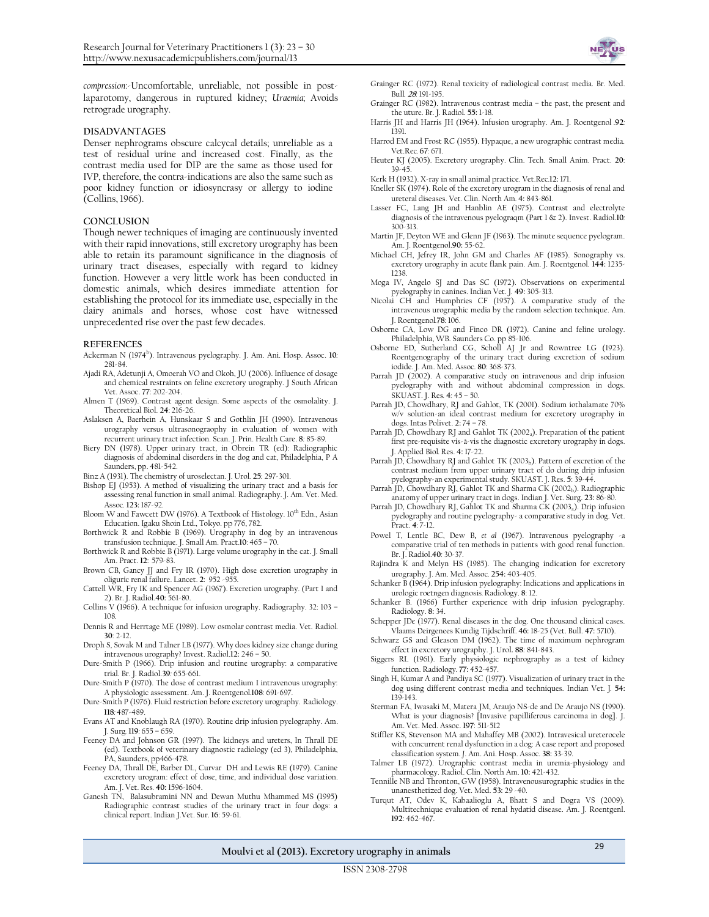

*compression*:-Uncomfortable, unreliable, not possible in postlaparotomy, dangerous in ruptured kidney; *Uraemia;* Avoids retrograde urography.

# **DISADVANTAGES**

Denser nephrograms obscure calcycal details; unreliable as a test of residual urine and increased cost. Finally, as the contrast media used for DIP are the same as those used for IVP, therefore, the contra-indications are also the same such as poor kidney function or idiosyncrasy or allergy to iodine (Collins, 1966).

#### **CONCLUSION**

Though newer techniques of imaging are continuously invented with their rapid innovations, still excretory urography has been able to retain its paramount significance in the diagnosis of urinary tract diseases, especially with regard to kidney function. However a very little work has been conducted in domestic animals, which desires immediate attention for establishing the protocol for its immediate use, especially in the dairy animals and horses, whose cost have witnessed unprecedented rise over the past few decades.

#### **REFERENCES**

- Ackerman N (1974<sup>b</sup>). Intravenous pyelography. J. Am. Ani. Hosp. Assoc. 10: 281-84.
- Ajadi RA, Adetunji A, Omoerah VO and Okoh, JU (2006). Influence of dosage and chemical restraints on feline excretory urography. J South African Vet. Assoc. **77**: 202-204.
- Almen T (1969). Contrast agent design. Some aspects of the osmolality. J. Theoretical Biol. **24**: 216-26.
- Aslaksen A, Baerhein A, Hunskaar S and Gothlin JH (1990). Intravenous urography versus ultrasonograophy in evaluation of women with recurrent urinary tract infection. Scan. J. Prin. Health Care. **8***:* 85-89.
- Biery DN (1978). Upper urinary tract, in Obrein TR (ed): Radiographic diagnosis of abdominal disorders in the dog and cat, Philadelphia, P A Saunders, pp. 481-542.
- Binz A (1931). The chemistry of uroselectan. J. Urol*.* **25***:* 297-301.
- Bishop EJ (1953). A method of visualizing the urinary tract and a basis for assessing renal function in small animal. Radiography. J. Am. Vet. Med. Assoc*.* **123:** 187-92.
- Bloom W and Fawcett DW (1976). A Textbook of Histology.  $10^{th}$  Edn., Asian Education. Igaku Shoin Ltd., Tokyo. pp 776, 782.
- Borthwick R and Robbie B (1969). Urography in dog by an intravenous transfusion technique. J. Small Am. Pract*.***10**: 465 – 70.
- Borthwick R and Robbie B (1971). Large volume urography in the cat. J. Small Am. Pract. **12**:579-83.
- Brown CB, Gancy JJ and Fry IR (1970). High dose excretion urography in oliguric renal failure. Lancet. **2**: 952 -955.
- Cattell WR, Fry IK and Spencer AG (1967). Excretion urography. (Part 1 and 2). Br. J. Radiol.**40:** 561-80.
- Collins V (1966). A technique for infusion urography. Radiography. 32: 103 108.
- Dennis R and Herrtage ME (1989). Low osmolar contrast media. Vet. Radiol*.* **30**: 2-12.
- Droph S, Sovak M and Talner LB (1977). Why does kidney size change during intravenous urography? Invest. Radiol.**12:** 246 – 50.
- Dure-Smith P (1966). Drip infusion and routine urography: a comparative trial. Br. J. Radiol.**39***:* 655-661.
- Dure-Smith P (1970). The dose of contrast medium I intravenous urography: A physiologic assessment. Am. J. Roentgenol*.***108***:* 691-697.
- Dure-Smith P (1976). Fluid restriction before excretory urography. Radiology. **118***:* 487-489.
- Evans AT and Knoblaugh RA (1970). Routine drip infusion pyelography. Am. J. Surg*.* **119***:* 655 – 659.
- Feeney DA and Johnson GR (1997). The kidneys and ureters, In Thrall DE (ed). Textbook of veterinary diagnostic radiology (ed 3), Philadelphia,
- PA, Saunders, pp466-478. Feeney DA, Thrall DE, Barber DL, Curvar DH and Lewis RE (1979). Canine excretory urogram: effect of dose, time, and individual dose variation. Am. J. Vet. Res*.* **40:** 1596-1604.
- Ganesh TN, Balasubramini NN and Dewan Muthu Mhammed MS (1995) Radiographic contrast studies of the urinary tract in four dogs: a clinical report. Indian J.Vet. Sur. **16**: 59-61.
- Grainger RC (1972). Renal toxicity of radiological contrast media. Br. Med. Bull*.* **<sup>28</sup>***:* 191-195.
- Grainger RC (1982). Intravenous contrast media the past, the present and the uture. Br. J. Radiol. **55:** 1-18.
- Harris JH and Harris JH (1964). Infusion urography. Am. J. Roentgenol *.***92***:* 1391.
- Harrod EM and Frost RC (1955). Hypaque, a new urographic contrast media. Vet.Rec*.* **67***:* 671.
- Heuter KJ (2005). Excretory urography. Clin. Tech. Small Anim. Pract. **20**: 39-45.
- Kerk H (1932). X-ray in small animal practice. Vet.Rec*.***12:** 171.
- Kneller SK (1974). Role of the excretory urogram in the diagnosis of renal and ureteral diseases. Vet. Clin. North Am*.* **4:** 843-861.
- Lasser FC, Lang JH and Hanblin AE (1975). Contrast and electrolyte diagnosis of the intravenous pyelograqm (Part 1 & 2). Invest. Radiol.**10***:*  300-313.
- Martin JF, Deyton WE and Glenn JF (1963). The minute sequence pyelogram. Am. J. Roentgenol.**90:** 55-62.
- Michael CH, Jefrey IR, John GM and Charles AF (1985). Sonography vs. excretory urography in acute flank pain. Am. J. Roentgenol. **144:** 1235- 1238.
- Moga IV, Angelo SJ and Das SC (1972). Observations on experimental pyelography in canines. Indian Vet. J. **49:** 305-313.
- Nicolai CH and Humphries CF (1957). A comparative study of the intravenous urographic media by the random selection technique. Am. J. Roentgenol*.***78***:* 106.
- Osborne CA, Low DG and Finco DR (1972). Canine and feline urology. Philadelphia, WB. Saunders Co. pp 85-106.
- Osborne ED, Sutherland CG, Scholl AJ Jr and Rowntree LG (1923). Roentgenography of the urinary tract during excretion of sodium iodide. J. Am. Med. Assoc*.* **80***:* 368-373.
- Parrah JD (2002). A comparative study on intravenous and drip infusion pyelography with and without abdominal compression in dogs. SKUAST. J. Res*.* **4***:* 45 – 50.
- Parrah JD, Chowdhary, RJ and Gahlot, TK (2001). Sodium iothalamate 70% w/v solution-an ideal contrast medium for excretory urography in dogs. Intas Polivet. **2:** 74 – 78.
- Parrah JD, Chowdhary RJ and Gahlot TK (2002<sub>a</sub>). Preparation of the patient first pre-requisite vis-à-vis the diagnostic excretory urography in dogs. J. Applied Biol*.* Res. **4:** 17-22.
- Parrah JD, Chowdhary RJ and Gahlot TK (2003b). Pattern of excretion of the contrast medium from upper urinary tract of do during drip infusion pyelography-an experimental study. SKUAST. J. Res. **5**: 39-44.
- Parrah JD, Chowdhary RJ, Gahlot TK and Sharma CK (2002b). Radiographic anatomy of upper urinary tract in dogs. Indian J. Vet. Surg. **23:** 86-80.
- Parrah JD, Chowdhary RJ, Gahlot TK and Sharma CK (2003<sub>a</sub>). Drip infusion pyelography and routine pyelography- a comparative study in dog. Vet. Pract. **4**: 7-12.
- Powel T, Lentle BC, Dew B**,** *et al* (1967). Intravenous pyelography -a comparative trial of ten methods in patients with good renal function. Br. J. Radiol.**40***:* 30-37.
- Rajindra K and Melyn HS (1985). The changing indication for excretory urography. J. Am. Med. Assoc*.* **254:** 403-405.
- Schanker B (1964). Drip infusion pyelography: Indications and applications in urologic roetngen diagnosis*.* Radiology. **8**: 12.
- Schanker B. (1966) Further experience with drip infusion pyelography. Radiology. **8:** 34.
- Schepper JDe (1977). Renal diseases in the dog. One thousand clinical cases. Vlaams Deirgenees Kundig Tijdschriff*.* **46:** 18-25 (Vet. Bull. **47:** 5710).
- Schwarz GS and Gleason DM (1962). The time of maximum nephrogram effect in excretory urography. J. Urol**. 88***:* 841-843.

Siggers RL (1961). Early physiologic nephrography as a test of kidney function. Radiology*.* **77:** 452-457.

- Singh H, Kumar A and Pandiya SC (1977). Visualization of urinary tract in the dog using different contrast media and techniques. Indian Vet. J*.* **54:** 139-143.
- Sterman FA, Iwasaki M, Matera JM, Araujo NS-de and De Araujo NS (1990). What is your diagnosis? [Invasive papilliferous carcinoma in dog]. J. Am. Vet. Med. Assoc. **197**: 511-512
- Stiffler KS, Stevenson MA and Mahaffey MB (2002). Intravesical ureterocele with concurrent renal dysfunction in a dog: A case report and proposed classification system. *J*. Am. Ani. Hosp. Assoc*.* **38:** 33-39.
- Talmer LB (1972). Urographic contrast media in uremia-physiology and pharmacology. Radiol. Clin. North Am. **10:** 421-432.
- Tennille NB and Thronton, GW (1958). Intravenousurographic studies in the unanesthetized dog. Vet. Med. **53:** 29 -40.
- Turqut AT, Odev K, Kabaalioglu A, Bhatt S and Dogra VS (2009). Multitechnique evaluation of renal hydatid disease. Am. J. Roentgenl. **192**: 462-467.

**Moulvi et al (2013). Excretory urography in animals** <sup>29</sup>